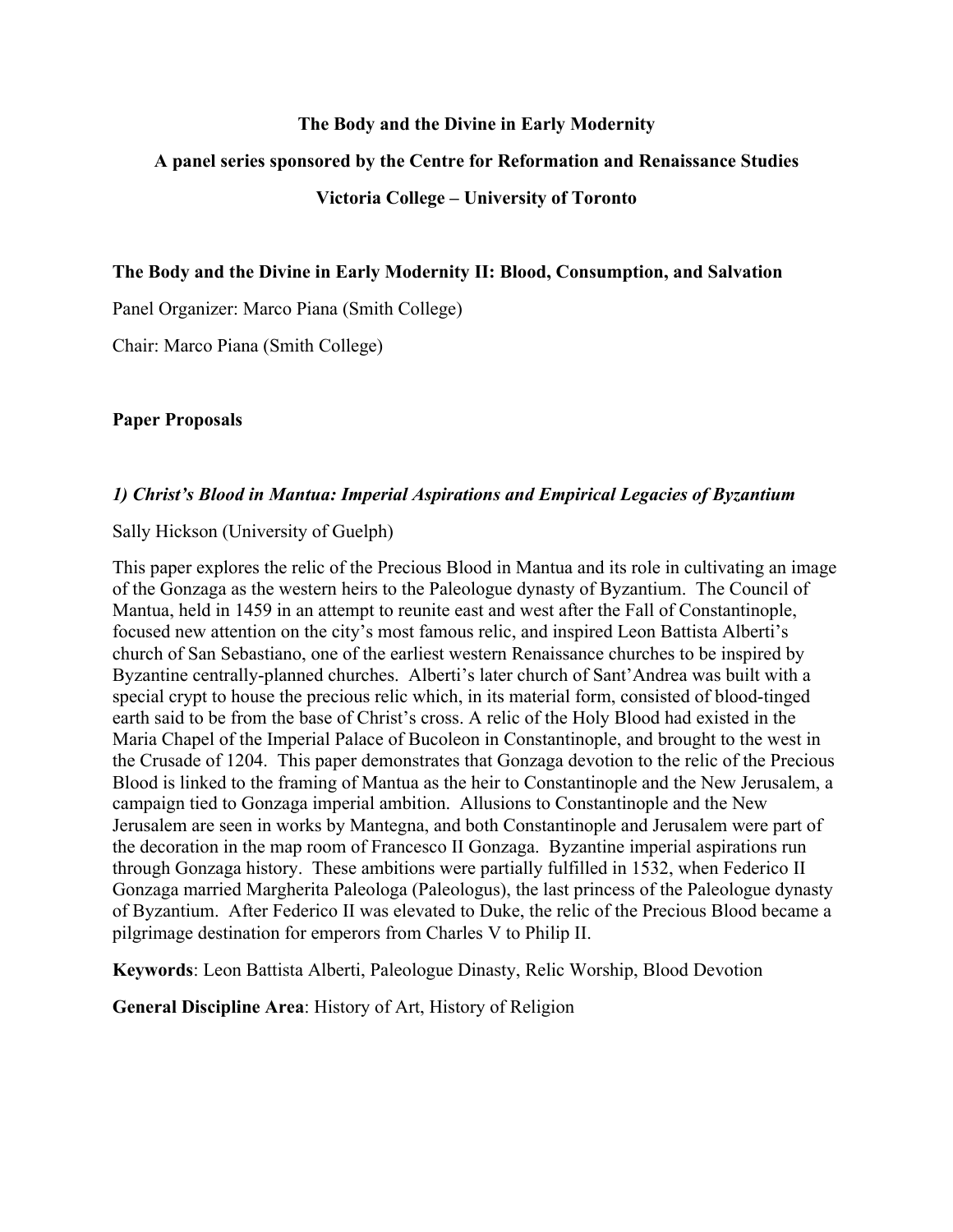## **The Body and the Divine in Early Modernity**

**A panel series sponsored by the Centre for Reformation and Renaissance Studies**

**Victoria College – University of Toronto**

**The Body and the Divine in Early Modernity II: Blood, Consumption, and Salvation**

Panel Organizer: Marco Piana (Smith College)

Chair: Marco Piana (Smith College)

**Paper Proposals**

## *1) Christ's Blood in Mantua: Imperial Aspirations and Empirical Legacies of Byzantium*

Sally Hickson (University of Guelph)

This paper explores the relic of the Precious Blood in Mantua and its role in cultivating an image of the Gonzaga as the western heirs to the Paleologue dynasty of Byzantium. The Council of Mantua, held in 1459 in an attempt to reunite east and west after the Fall of Constantinople, focused new attention on the city's most famous relic, and inspired Leon Battista Alberti's church of San Sebastiano, one of the earliest western Renaissance churches to be inspired by Byzantine centrally-planned churches. Alberti's later church of Sant'Andrea was built with a special crypt to house the precious relic which, in its material form, consisted of blood-tinged earth said to be from the base of Christ's cross. A relic of the Holy Blood had existed in the Maria Chapel of the Imperial Palace of Bucoleon in Constantinople, and brought to the west in the Crusade of 1204. This paper demonstrates that Gonzaga devotion to the relic of the Precious Blood is linked to the framing of Mantua as the heir to Constantinople and the New Jerusalem, a campaign tied to Gonzaga imperial ambition. Allusions to Constantinople and the New Jerusalem are seen in works by Mantegna, and both Constantinople and Jerusalem were part of the decoration in the map room of Francesco II Gonzaga. Byzantine imperial aspirations run through Gonzaga history. These ambitions were partially fulfilled in 1532, when Federico II Gonzaga married Margherita Paleologa (Paleologus), the last princess of the Paleologue dynasty of Byzantium. After Federico II was elevated to Duke, the relic of the Precious Blood became a pilgrimage destination for emperors from Charles V to Philip II.

**Keywords**: Leon Battista Alberti, Paleologue Dinasty, Relic Worship, Blood Devotion

**General Discipline Area**: History of Art, History of Religion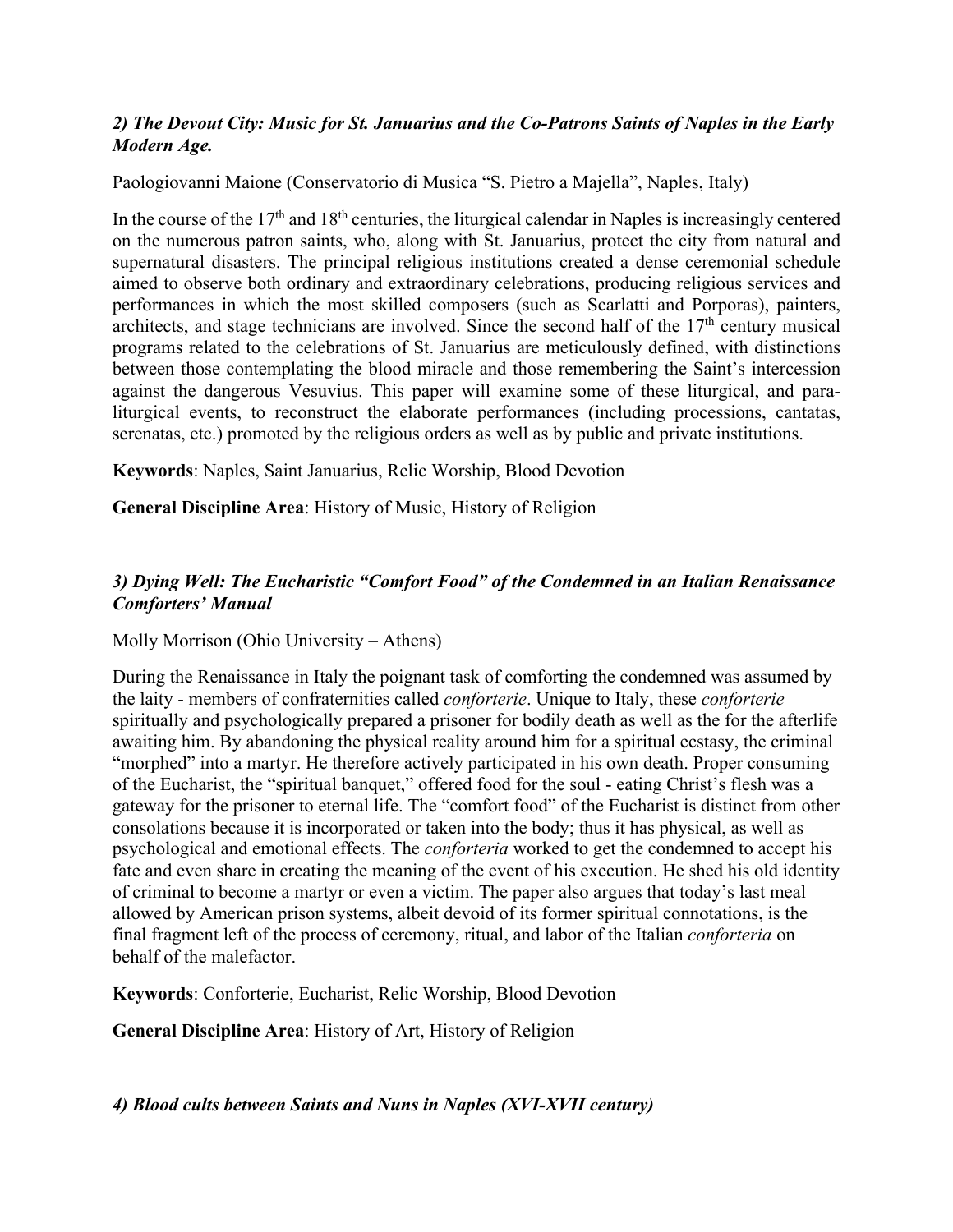## *2) The Devout City: Music for St. Januarius and the Co-Patrons Saints of Naples in the Early Modern Age.*

Paologiovanni Maione (Conservatorio di Musica "S. Pietro a Majella", Naples, Italy)

In the course of the  $17<sup>th</sup>$  and  $18<sup>th</sup>$  centuries, the liturgical calendar in Naples is increasingly centered on the numerous patron saints, who, along with St. Januarius, protect the city from natural and supernatural disasters. The principal religious institutions created a dense ceremonial schedule aimed to observe both ordinary and extraordinary celebrations, producing religious services and performances in which the most skilled composers (such as Scarlatti and Porporas), painters, architects, and stage technicians are involved. Since the second half of the  $17<sup>th</sup>$  century musical programs related to the celebrations of St. Januarius are meticulously defined, with distinctions between those contemplating the blood miracle and those remembering the Saint's intercession against the dangerous Vesuvius. This paper will examine some of these liturgical, and paraliturgical events, to reconstruct the elaborate performances (including processions, cantatas, serenatas, etc.) promoted by the religious orders as well as by public and private institutions.

**Keywords**: Naples, Saint Januarius, Relic Worship, Blood Devotion

**General Discipline Area**: History of Music, History of Religion

## *3) Dying Well: The Eucharistic "Comfort Food" of the Condemned in an Italian Renaissance Comforters' Manual*

Molly Morrison (Ohio University – Athens)

During the Renaissance in Italy the poignant task of comforting the condemned was assumed by the laity - members of confraternities called *conforterie*. Unique to Italy, these *conforterie* spiritually and psychologically prepared a prisoner for bodily death as well as the for the afterlife awaiting him. By abandoning the physical reality around him for a spiritual ecstasy, the criminal "morphed" into a martyr. He therefore actively participated in his own death. Proper consuming of the Eucharist, the "spiritual banquet," offered food for the soul - eating Christ's flesh was a gateway for the prisoner to eternal life. The "comfort food" of the Eucharist is distinct from other consolations because it is incorporated or taken into the body; thus it has physical, as well as psychological and emotional effects. The *conforteria* worked to get the condemned to accept his fate and even share in creating the meaning of the event of his execution. He shed his old identity of criminal to become a martyr or even a victim. The paper also argues that today's last meal allowed by American prison systems, albeit devoid of its former spiritual connotations, is the final fragment left of the process of ceremony, ritual, and labor of the Italian *conforteria* on behalf of the malefactor.

**Keywords**: Conforterie, Eucharist, Relic Worship, Blood Devotion

**General Discipline Area**: History of Art, History of Religion

*4) Blood cults between Saints and Nuns in Naples (XVI-XVII century)*